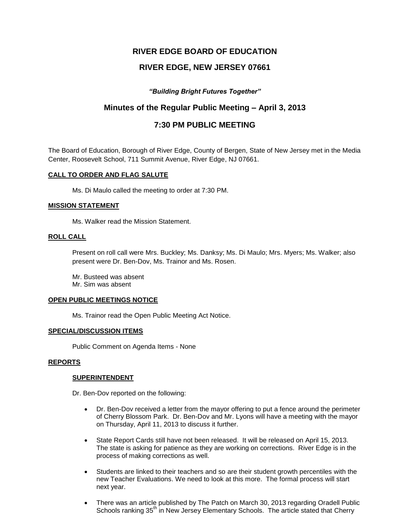# **RIVER EDGE BOARD OF EDUCATION**

# **RIVER EDGE, NEW JERSEY 07661**

## *"Building Bright Futures Together"*

# **Minutes of the Regular Public Meeting – April 3, 2013**

# **7:30 PM PUBLIC MEETING**

The Board of Education, Borough of River Edge, County of Bergen, State of New Jersey met in the Media Center, Roosevelt School, 711 Summit Avenue, River Edge, NJ 07661.

### **CALL TO ORDER AND FLAG SALUTE**

Ms. Di Maulo called the meeting to order at 7:30 PM.

### **MISSION STATEMENT**

Ms. Walker read the Mission Statement.

### **ROLL CALL**

Present on roll call were Mrs. Buckley; Ms. Danksy; Ms. Di Maulo; Mrs. Myers; Ms. Walker; also present were Dr. Ben-Dov, Ms. Trainor and Ms. Rosen.

Mr. Busteed was absent Mr. Sim was absent

#### **OPEN PUBLIC MEETINGS NOTICE**

Ms. Trainor read the Open Public Meeting Act Notice.

### **SPECIAL/DISCUSSION ITEMS**

Public Comment on Agenda Items - None

#### **REPORTS**

#### **SUPERINTENDENT**

Dr. Ben-Dov reported on the following:

- Dr. Ben-Dov received a letter from the mayor offering to put a fence around the perimeter of Cherry Blossom Park. Dr. Ben-Dov and Mr. Lyons will have a meeting with the mayor on Thursday, April 11, 2013 to discuss it further.
- State Report Cards still have not been released. It will be released on April 15, 2013. The state is asking for patience as they are working on corrections. River Edge is in the process of making corrections as well.
- Students are linked to their teachers and so are their student growth percentiles with the new Teacher Evaluations. We need to look at this more. The formal process will start next year.
- There was an article published by The Patch on March 30, 2013 regarding Oradell Public Schools ranking 35<sup>th</sup> in New Jersey Elementary Schools. The article stated that Cherry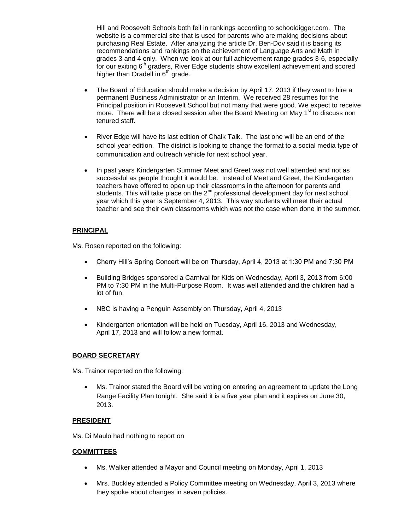Hill and Roosevelt Schools both fell in rankings according to schooldigger.com. The website is a commercial site that is used for parents who are making decisions about purchasing Real Estate. After analyzing the article Dr. Ben-Dov said it is basing its recommendations and rankings on the achievement of Language Arts and Math in grades 3 and 4 only. When we look at our full achievement range grades 3-6, especially for our exiting  $6<sup>th</sup>$  graders, River Edge students show excellent achievement and scored higher than Oradell in 6<sup>th</sup> grade.

- The Board of Education should make a decision by April 17, 2013 if they want to hire a permanent Business Administrator or an Interim. We received 28 resumes for the Principal position in Roosevelt School but not many that were good. We expect to receive more. There will be a closed session after the Board Meeting on May  $1<sup>st</sup>$  to discuss non tenured staff.
- River Edge will have its last edition of Chalk Talk. The last one will be an end of the school year edition. The district is looking to change the format to a social media type of communication and outreach vehicle for next school year.
- In past years Kindergarten Summer Meet and Greet was not well attended and not as successful as people thought it would be. Instead of Meet and Greet, the Kindergarten teachers have offered to open up their classrooms in the afternoon for parents and students. This will take place on the  $2<sup>nd</sup>$  professional development day for next school year which this year is September 4, 2013. This way students will meet their actual teacher and see their own classrooms which was not the case when done in the summer.

## **PRINCIPAL**

Ms. Rosen reported on the following:

- Cherry Hill's Spring Concert will be on Thursday, April 4, 2013 at 1:30 PM and 7:30 PM
- Building Bridges sponsored a Carnival for Kids on Wednesday, April 3, 2013 from 6:00 PM to 7:30 PM in the Multi-Purpose Room. It was well attended and the children had a lot of fun.
- NBC is having a Penguin Assembly on Thursday, April 4, 2013
- Kindergarten orientation will be held on Tuesday, April 16, 2013 and Wednesday, April 17, 2013 and will follow a new format.

## **BOARD SECRETARY**

Ms. Trainor reported on the following:

 Ms. Trainor stated the Board will be voting on entering an agreement to update the Long Range Facility Plan tonight. She said it is a five year plan and it expires on June 30, 2013.

#### **PRESIDENT**

Ms. Di Maulo had nothing to report on

## **COMMITTEES**

- Ms. Walker attended a Mayor and Council meeting on Monday, April 1, 2013
- Mrs. Buckley attended a Policy Committee meeting on Wednesday, April 3, 2013 where they spoke about changes in seven policies.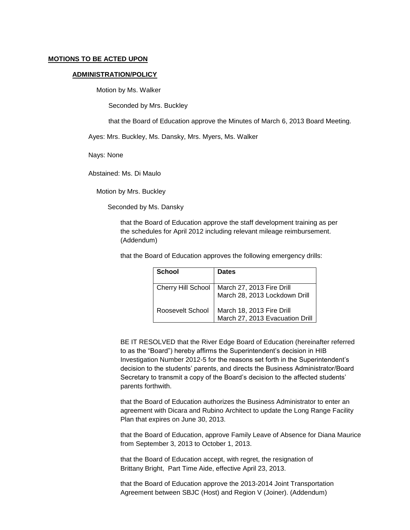#### **MOTIONS TO BE ACTED UPON**

#### **ADMINISTRATION/POLICY**

Motion by Ms. Walker

Seconded by Mrs. Buckley

that the Board of Education approve the Minutes of March 6, 2013 Board Meeting.

Ayes: Mrs. Buckley, Ms. Dansky, Mrs. Myers, Ms. Walker

Nays: None

Abstained: Ms. Di Maulo

Motion by Mrs. Buckley

Seconded by Ms. Dansky

that the Board of Education approve the staff development training as per the schedules for April 2012 including relevant mileage reimbursement. (Addendum)

that the Board of Education approves the following emergency drills:

| School             | <b>Dates</b>                                                 |
|--------------------|--------------------------------------------------------------|
| Cherry Hill School | March 27, 2013 Fire Drill<br>March 28, 2013 Lockdown Drill   |
| Roosevelt School   | March 18, 2013 Fire Drill<br>March 27, 2013 Evacuation Drill |

BE IT RESOLVED that the River Edge Board of Education (hereinafter referred to as the "Board") hereby affirms the Superintendent's decision in HIB Investigation Number 2012-5 for the reasons set forth in the Superintendent's decision to the students' parents, and directs the Business Administrator/Board Secretary to transmit a copy of the Board's decision to the affected students' parents forthwith.

that the Board of Education authorizes the Business Administrator to enter an agreement with Dicara and Rubino Architect to update the Long Range Facility Plan that expires on June 30, 2013.

that the Board of Education, approve Family Leave of Absence for Diana Maurice from September 3, 2013 to October 1, 2013.

that the Board of Education accept, with regret, the resignation of Brittany Bright, Part Time Aide, effective April 23, 2013.

that the Board of Education approve the 2013-2014 Joint Transportation Agreement between SBJC (Host) and Region V (Joiner). (Addendum)